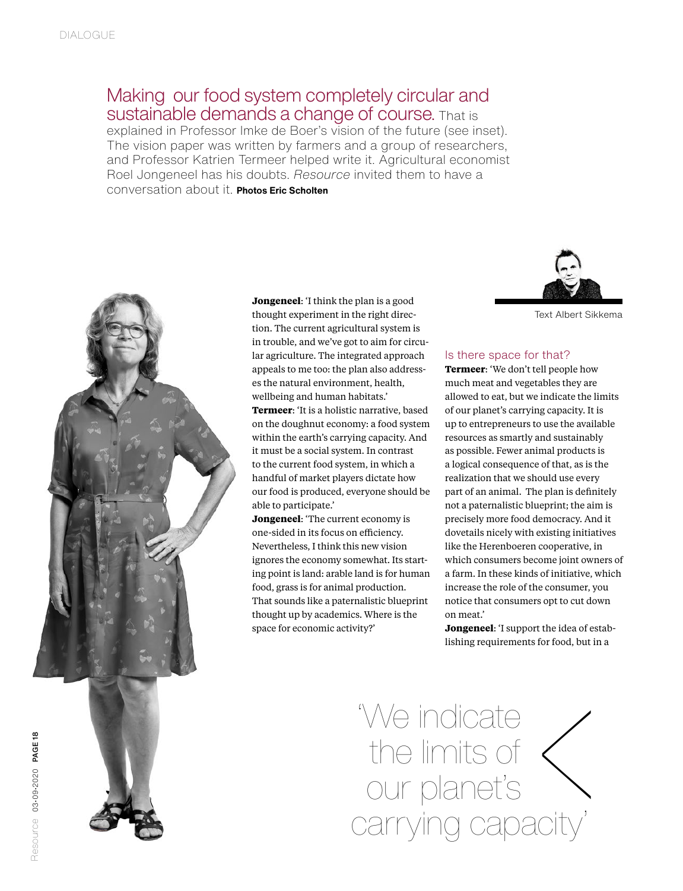## Making our food system completely circular and sustainable demands a change of course. That is

explained in Professor Imke de Boer's vision of the future (see inset). The vision paper was written by farmers and a group of researchers, and Professor Katrien Termeer helped write it. Agricultural economist Roel Jongeneel has his doubts. *Resource* invited them to have a conversation about it. **Photos Eric Scholten**



**Jongeneel**: 'I think the plan is a good thought experiment in the right direction. The current agricultural system is in trouble, and we've got to aim for circular agriculture. The integrated approach appeals to me too: the plan also addresses the natural environment, health, wellbeing and human habitats.' **Termeer**: 'It is a holistic narrative, based on the doughnut economy: a food system within the earth's carrying capacity. And it must be a social system. In contrast to the current food system, in which a handful of market players dictate how our food is produced, everyone should be able to participate.'

**Jongeneel**: 'The current economy is one-sided in its focus on efficiency. Nevertheless, I think this new vision ignores the economy somewhat. Its starting point is land: arable land is for human food, grass is for animal production. That sounds like a paternalistic blueprint thought up by academics. Where is the space for economic activity?'



Text Albert Sikkema

### Is there space for that?

**Termeer**: 'We don't tell people how much meat and vegetables they are allowed to eat, but we indicate the limits of our planet's carrying capacity. It is up to entrepreneurs to use the available resources as smartly and sustainably as possible. Fewer animal products is a logical consequence of that, as is the realization that we should use every part of an animal. The plan is definitely not a paternalistic blueprint; the aim is precisely more food democracy. And it dovetails nicely with existing initiatives like the Herenboeren cooperative, in which consumers become joint owners of a farm. In these kinds of initiative, which increase the role of the consumer, you notice that consumers opt to cut down on meat.' the consumer, yet so cut do<br>the idea of est of the idea of est for food, but in

**Jongeneel**: 'I support the idea of establishing requirements for food, but in a

'We indicate the limits of  $\langle$ our planet's carrying capacity'